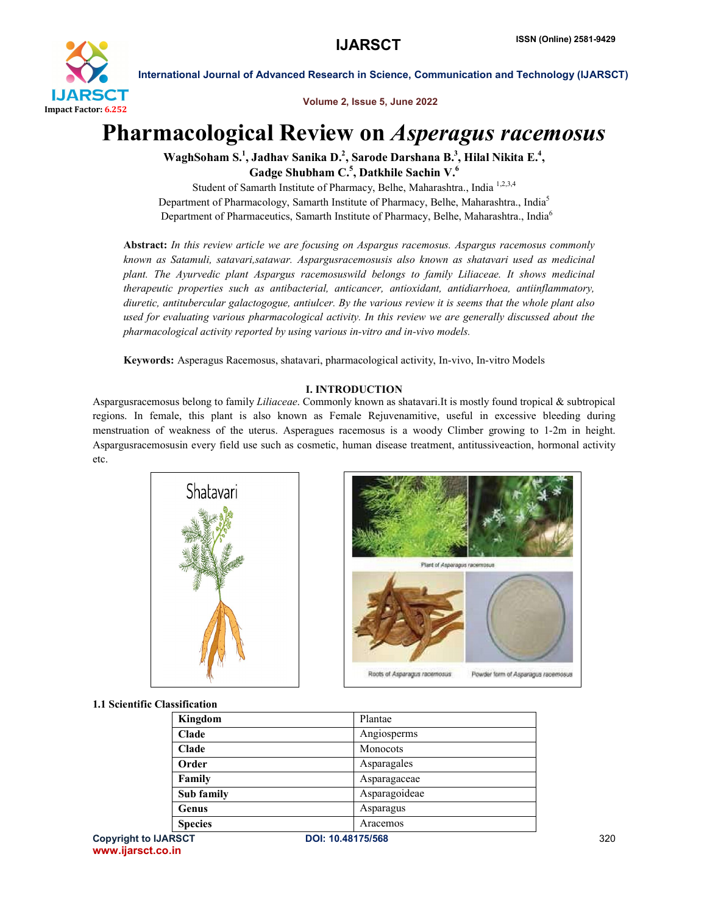

Volume 2, Issue 5, June 2022

# Pharmacological Review on *Asperagus racemosus*

WaghSoham S.<sup>1</sup>, Jadhav Sanika D.<sup>2</sup>, Sarode Darshana B.<sup>3</sup>, Hilal Nikita E.<sup>4</sup>, Gadge Shubham  $\mathsf{C\mathstrut}^{.5},$  Datkhile Sachin  $\mathsf{V\mathstrut}^{.6}$ 

Student of Samarth Institute of Pharmacy, Belhe, Maharashtra., India 1,2,3,4 Department of Pharmacology, Samarth Institute of Pharmacy, Belhe, Maharashtra., India<sup>5</sup> Department of Pharmaceutics, Samarth Institute of Pharmacy, Belhe, Maharashtra., India<sup>6</sup>

Abstract: *In this review article we are focusing on Aspargus racemosus. Aspargus racemosus commonly known as Satamuli, satavari,satawar. Aspargusracemosusis also known as shatavari used as medicinal plant. The Ayurvedic plant Aspargus racemosuswild belongs to family Liliaceae. It shows medicinal therapeutic properties such as antibacterial, anticancer, antioxidant, antidiarrhoea, antiinflammatory, diuretic, antitubercular galactogogue, antiulcer. By the various review it is seems that the whole plant also used for evaluating various pharmacological activity. In this review we are generally discussed about the pharmacological activity reported by using various in-vitro and in-vivo models.*

Keywords: Asperagus Racemosus, shatavari, pharmacological activity, In-vivo, In-vitro Models

# I. INTRODUCTION

Aspargusracemosus belong to family *Liliaceae*. Commonly known as shatavari.It is mostly found tropical & subtropical regions. In female, this plant is also known as Female Rejuvenamitive, useful in excessive bleeding during menstruation of weakness of the uterus. Asperagues racemosus is a woody Climber growing to 1-2m in height. Aspargusracemosusin every field use such as cosmetic, human disease treatment, antitussiveaction, hormonal activity etc.



# 1.1 Scientific Classification

| Kingdom        | Plantae       |
|----------------|---------------|
| Clade          | Angiosperms   |
| <b>Clade</b>   | Monocots      |
| Order          | Asparagales   |
| Family         | Asparagaceae  |
| Sub family     | Asparagoideae |
| Genus          | Asparagus     |
| <b>Species</b> | Aracemos      |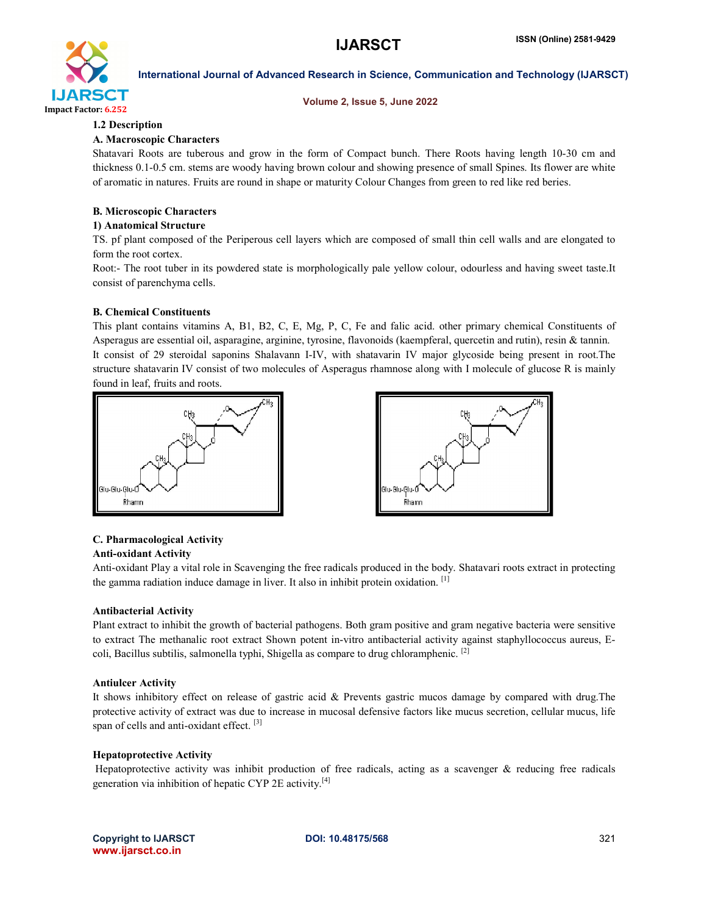

#### Volume 2, Issue 5, June 2022

# 1.2 Description

# A. Macroscopic Characters

Shatavari Roots are tuberous and grow in the form of Compact bunch. There Roots having length 10-30 cm and thickness 0.1-0.5 cm. stems are woody having brown colour and showing presence of small Spines. Its flower are white of aromatic in natures. Fruits are round in shape or maturity Colour Changes from green to red like red beries.

# B. Microscopic Characters

#### 1) Anatomical Structure

TS. pf plant composed of the Periperous cell layers which are composed of small thin cell walls and are elongated to form the root cortex.

Root:- The root tuber in its powdered state is morphologically pale yellow colour, odourless and having sweet taste.It consist of parenchyma cells.

#### B. Chemical Constituents

This plant contains vitamins A, B1, B2, C, E, Mg, P, C, Fe and falic acid. other primary chemical Constituents of Asperagus are essential oil, asparagine, arginine, tyrosine, flavonoids (kaempferal, quercetin and rutin), resin & tannin. It consist of 29 steroidal saponins Shalavann I-IV, with shatavarin IV major glycoside being present in root.The structure shatavarin IV consist of two molecules of Asperagus rhamnose along with I molecule of glucose R is mainly found in leaf, fruits and roots.





# C. Pharmacological Activity

### Anti-oxidant Activity

Anti-oxidant Play a vital role in Scavenging the free radicals produced in the body. Shatavari roots extract in protecting the gamma radiation induce damage in liver. It also in inhibit protein oxidation. [1]

#### Antibacterial Activity

Plant extract to inhibit the growth of bacterial pathogens. Both gram positive and gram negative bacteria were sensitive to extract The methanalic root extract Shown potent in-vitro antibacterial activity against staphyllococcus aureus, Ecoli, Bacillus subtilis, salmonella typhi, Shigella as compare to drug chloramphenic. [2]

#### Antiulcer Activity

It shows inhibitory effect on release of gastric acid & Prevents gastric mucos damage by compared with drug.The protective activity of extract was due to increase in mucosal defensive factors like mucus secretion, cellular mucus, life span of cells and anti-oxidant effect. [3]

# Hepatoprotective Activity

Hepatoprotective activity was inhibit production of free radicals, acting as a scavenger & reducing free radicals generation via inhibition of hepatic CYP 2E activity.<sup>[4]</sup>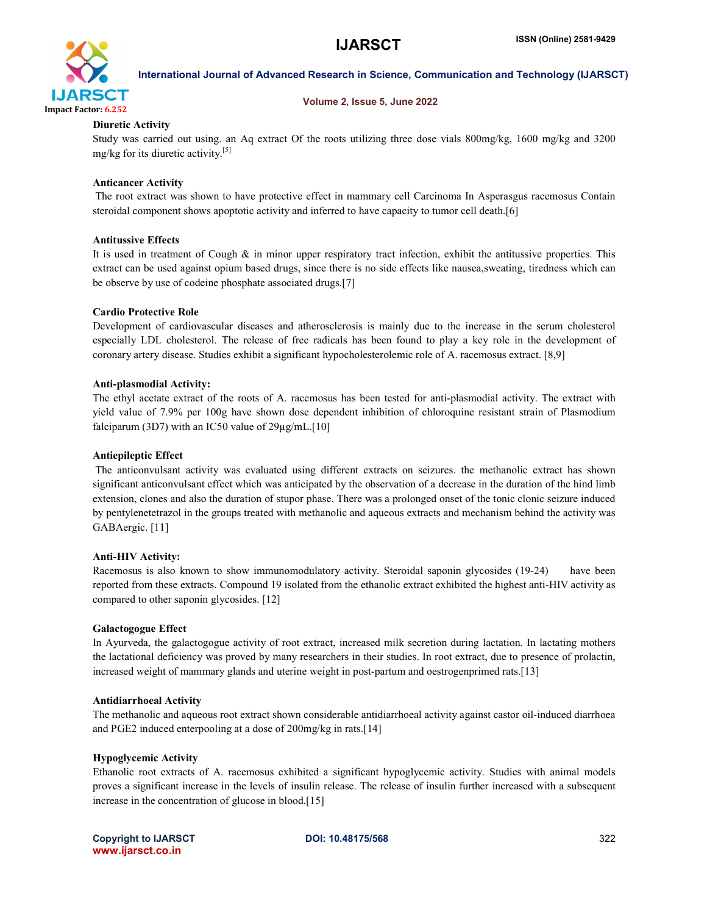

#### Volume 2, Issue 5, June 2022

#### Diuretic Activity

Study was carried out using. an Aq extract Of the roots utilizing three dose vials 800mg/kg, 1600 mg/kg and 3200 mg/kg for its diuretic activity.[5]

#### Anticancer Activity

The root extract was shown to have protective effect in mammary cell Carcinoma In Asperasgus racemosus Contain steroidal component shows apoptotic activity and inferred to have capacity to tumor cell death.[6]

#### Antitussive Effects

It is used in treatment of Cough  $\&$  in minor upper respiratory tract infection, exhibit the antitussive properties. This extract can be used against opium based drugs, since there is no side effects like nausea,sweating, tiredness which can be observe by use of codeine phosphate associated drugs.[7]

#### Cardio Protective Role

Development of cardiovascular diseases and atherosclerosis is mainly due to the increase in the serum cholesterol especially LDL cholesterol. The release of free radicals has been found to play a key role in the development of coronary artery disease. Studies exhibit a significant hypocholesterolemic role of A. racemosus extract. [8,9]

#### Anti-plasmodial Activity:

The ethyl acetate extract of the roots of A. racemosus has been tested for anti-plasmodial activity. The extract with yield value of 7.9% per 100g have shown dose dependent inhibition of chloroquine resistant strain of Plasmodium falciparum (3D7) with an IC50 value of  $29\mu$ g/mL.[10]

#### Antiepileptic Effect

The anticonvulsant activity was evaluated using different extracts on seizures. the methanolic extract has shown significant anticonvulsant effect which was anticipated by the observation of a decrease in the duration of the hind limb extension, clones and also the duration of stupor phase. There was a prolonged onset of the tonic clonic seizure induced by pentylenetetrazol in the groups treated with methanolic and aqueous extracts and mechanism behind the activity was GABAergic. [11]

#### Anti-HIV Activity:

Racemosus is also known to show immunomodulatory activity. Steroidal saponin glycosides (19-24) have been reported from these extracts. Compound 19 isolated from the ethanolic extract exhibited the highest anti-HIV activity as compared to other saponin glycosides. [12]

#### Galactogogue Effect

In Ayurveda, the galactogogue activity of root extract, increased milk secretion during lactation. In lactating mothers the lactational deficiency was proved by many researchers in their studies. In root extract, due to presence of prolactin, increased weight of mammary glands and uterine weight in post-partum and oestrogenprimed rats.[13]

#### Antidiarrhoeal Activity

The methanolic and aqueous root extract shown considerable antidiarrhoeal activity against castor oil-induced diarrhoea and PGE2 induced enterpooling at a dose of 200mg/kg in rats.[14]

#### Hypoglycemic Activity

Ethanolic root extracts of A. racemosus exhibited a significant hypoglycemic activity. Studies with animal models proves a significant increase in the levels of insulin release. The release of insulin further increased with a subsequent increase in the concentration of glucose in blood.[15]